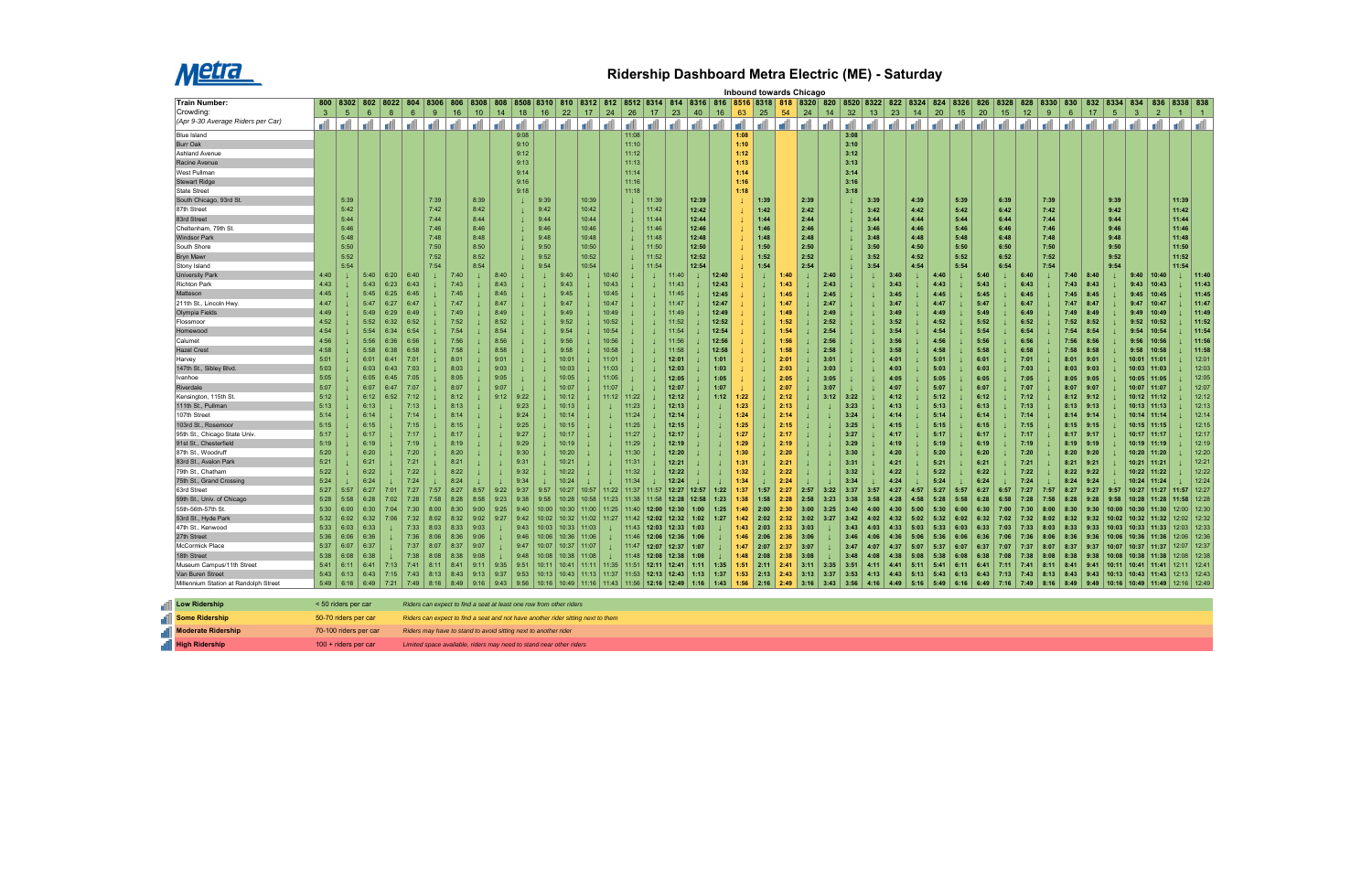

## **Ridership Dashboard Metra Electric (ME) - Saturday**

|                                       |                       | Inbound towards Chicago<br>8508 8310 810 8312 812 8512 8514 8314 8316 816 8516 8318 818 8320 820 8520 8322 822 8324 824 8326<br>802 8022 804<br>826 8328<br>8334 834 |              |              |                 |             |                                                                                  |                 |              |              |       |                |        |              |                                                       |       |                |       |       |              |      |              |       |              |              |      |              |      |                 |      |              |      |              |         |              |              |                |                                |                |               |                |
|---------------------------------------|-----------------------|----------------------------------------------------------------------------------------------------------------------------------------------------------------------|--------------|--------------|-----------------|-------------|----------------------------------------------------------------------------------|-----------------|--------------|--------------|-------|----------------|--------|--------------|-------------------------------------------------------|-------|----------------|-------|-------|--------------|------|--------------|-------|--------------|--------------|------|--------------|------|-----------------|------|--------------|------|--------------|---------|--------------|--------------|----------------|--------------------------------|----------------|---------------|----------------|
| <b>Train Number:</b>                  |                       | 800 8302                                                                                                                                                             |              |              |                 | 8306        | 806                                                                              | 8308            | 808          |              |       |                |        |              |                                                       |       |                |       |       |              |      |              |       |              |              |      |              |      |                 |      |              |      | 828          | 8330    | 830          | 832          |                |                                |                | 836 8338 838  |                |
| Crowding:                             | $\mathbf{3}$          | $5\phantom{.0}$                                                                                                                                                      | 6            | 8            | $6\overline{6}$ | $9^{\circ}$ | 16                                                                               | 10 <sup>°</sup> | 14           | 18           | 16    | 22             | 17     | 24           | 26                                                    | 17    | 23             | 40    | 16    | 63           | 25   | 54           | 24    | 14           | 32           | 13   | 23           | 14   | 20              | 15   | 20           | 15   | 12           | 9       | $6^{\circ}$  | 17           | 5 <sup>5</sup> | $\mathbf{3}$                   | $\overline{2}$ | $\mathbf{1}$  | $\overline{1}$ |
| (Apr 9-30 Average Riders per Car)     |                       | d                                                                                                                                                                    | d            |              | الم الله الله   |             |                                                                                  | اله ا الله      | <b>d</b>     | d            | al    | - A            | a di l | <b>I</b> all | d                                                     | d     | d              | l all | -dl   | ď            | d    | d١           | - all | أآت          | - A          | Æ    | -dl          |      | ا الله ا الله ا | d    | a Al         | all  |              | da   da | d l          |              |                |                                |                | الله          | d              |
| <b>Blue Island</b>                    |                       |                                                                                                                                                                      |              |              |                 |             |                                                                                  |                 |              | 9:08         |       |                |        |              | 11:08                                                 |       |                |       |       | 1:08         |      |              |       |              | 3:08         |      |              |      |                 |      |              |      |              |         |              |              |                |                                |                |               |                |
| <b>Burr Oak</b>                       |                       |                                                                                                                                                                      |              |              |                 |             |                                                                                  |                 |              | 9:10         |       |                |        |              | 11:10                                                 |       |                |       |       | 1:10         |      |              |       |              | 3:10         |      |              |      |                 |      |              |      |              |         |              |              |                |                                |                |               |                |
| <b>Ashland Avenue</b>                 |                       |                                                                                                                                                                      |              |              |                 |             |                                                                                  |                 |              | 9:12         |       |                |        |              | 11:12                                                 |       |                |       |       | 1:12         |      |              |       |              | 3:12         |      |              |      |                 |      |              |      |              |         |              |              |                |                                |                |               |                |
| Racine Avenue                         |                       |                                                                                                                                                                      |              |              |                 |             |                                                                                  |                 |              | 9:13         |       |                |        |              | 11:13                                                 |       |                |       |       | 1:13         |      |              |       |              | 3:13         |      |              |      |                 |      |              |      |              |         |              |              |                |                                |                |               |                |
| West Pullman                          |                       |                                                                                                                                                                      |              |              |                 |             |                                                                                  |                 |              | 9:14         |       |                |        |              | 11:14                                                 |       |                |       |       | 1:14         |      |              |       |              | 3:14         |      |              |      |                 |      |              |      |              |         |              |              |                |                                |                |               |                |
| <b>Stewart Ridge</b>                  |                       |                                                                                                                                                                      |              |              |                 |             |                                                                                  |                 |              | 9:16         |       |                |        |              | 11:16                                                 |       |                |       |       | 1:16         |      |              |       |              | 3:16         |      |              |      |                 |      |              |      |              |         |              |              |                |                                |                |               |                |
| <b>State Street</b>                   |                       |                                                                                                                                                                      |              |              |                 |             |                                                                                  |                 |              | 9:18         |       |                |        |              | 11:18                                                 |       |                |       |       | 1:18         |      |              |       |              | 3:18         |      |              |      |                 |      |              |      |              |         |              |              |                |                                |                |               |                |
| South Chicago, 93rd St                |                       | 5:39                                                                                                                                                                 |              |              |                 | 7:39        |                                                                                  | 8:39            |              |              | 9:39  |                | 10:39  |              | $\perp$                                               | 11:39 |                | 12:39 |       |              | 1:39 |              | 2:39  |              |              | 3:39 |              | 4:39 |                 | 5:39 |              | 6:39 |              | 7:39    |              |              | 9:39           |                                |                | 11:39         |                |
| 87th Street                           |                       | 5:42                                                                                                                                                                 |              |              |                 | 7:42        |                                                                                  | 8:42            |              |              | 9:42  |                | 10:42  |              | $\perp$                                               | 11:42 |                | 12:42 |       |              | 1:42 |              | 2:42  |              |              | 3:42 |              | 4:42 |                 | 5:42 |              | 6:42 |              | 7:42    |              |              | 9:42           |                                |                | 11:42         |                |
| 83rd Street                           |                       | 5:44                                                                                                                                                                 |              |              |                 | 7:44        |                                                                                  | 8:44            |              |              | 9:44  |                | 10:44  |              | $\perp$                                               | 11:44 |                | 12:44 |       |              | 1:44 |              | 2:44  |              |              | 3:44 |              | 4:44 |                 | 5:44 |              | 6:44 |              | 7:44    |              |              | 9:44           |                                |                | 11:44         |                |
| Cheltenham, 79th St.                  |                       | 5:46                                                                                                                                                                 |              |              |                 | 7:46        |                                                                                  | 8:46            |              |              | 9:46  |                | 10:46  |              | $\perp$                                               | 11:46 |                | 12:46 |       |              | 1:46 |              | 2:46  |              |              | 3:46 |              | 4:46 |                 | 5:46 |              | 6:46 |              | 7:46    |              |              | 9:46           |                                |                | 11:46         |                |
| <b>Windsor Park</b>                   |                       | 5:48                                                                                                                                                                 |              |              |                 | 7:48        |                                                                                  | 8:48            |              |              | 9:48  |                | 10:48  |              | $\perp$                                               | 11:48 |                | 12:48 |       |              | 1:48 |              | 2:48  |              |              | 3:48 |              | 4:48 |                 | 5:48 |              | 6:48 |              | 7:48    |              |              | 9:48           |                                |                | 11:48         |                |
| South Shore                           |                       | 5:50                                                                                                                                                                 |              |              |                 | 7:50        |                                                                                  | 8:50            |              |              | 9:50  |                | 10:50  |              |                                                       | 11:50 |                | 12:50 |       |              | 1:50 |              | 2:50  |              |              | 3:50 |              | 4:50 |                 | 5:50 |              | 6:50 |              | 7:50    |              |              | 9:50           |                                |                | 11:50         |                |
| <b>Bryn Mawr</b>                      |                       | 5:52                                                                                                                                                                 |              |              |                 | 7:52        |                                                                                  | 8:52            |              |              | 9:52  |                | 10:52  |              | -1                                                    | 11:52 |                | 12:52 |       |              | 1:52 |              | 2:52  |              |              | 3:52 |              | 4:52 |                 | 5:52 |              | 6:52 |              | 7:52    |              |              | 9:52           |                                |                | 11:52         |                |
| Stony Island                          |                       | 5:54                                                                                                                                                                 |              |              |                 | 7:54        |                                                                                  | 8:54            |              |              | 9:54  |                | 10:54  |              |                                                       | 11:54 |                | 12:54 |       |              | 1:54 |              | 2:54  |              |              | 3:54 |              | 4:54 |                 | 5:54 |              | 6:54 |              | 7:54    |              |              | 9:54           |                                |                | 11:54         |                |
| University Parl                       | 4:40                  |                                                                                                                                                                      | 5:40         | 6:20         | 6:40            |             | 7:40                                                                             |                 | 8:40         |              |       | 9:40           |        | 10:40        |                                                       |       | 11:40          |       | 12:40 |              |      | :40          |       | 2:40         |              |      |              |      | 4:40            |      | 5:40         |      | 6:40         |         | 7:40         | 8:40         |                | 9:40                           | 10:40          |               | 11:40          |
| <b>Richton Park</b>                   | 4:43                  |                                                                                                                                                                      | 5:43         | 6:23         | 6:43            |             | 7:43                                                                             |                 | 8:43         |              |       | 9:43           |        | 10:43        |                                                       |       | 11:43          |       | 12:43 |              |      | 1:43         |       | 2:43         |              |      | 3:43         |      | 4:43            |      | 5:43         |      | 6:43         |         | 7:43         | 8:43         |                | 9:43                           | 10:43          |               | 11:43          |
| Matteson                              | 4:45                  |                                                                                                                                                                      | 5:45         | 6:25         | 6:45            |             | 7:45                                                                             |                 | 8:45         |              |       | 9:45           |        | 10:45        |                                                       |       | 11:45          |       | 12:45 |              |      | 1:45         | T     | 2:45         |              |      | 3:45         |      | 4:45            |      | 5:45         |      | 6:45         |         | 7:45         | 8:45         |                | 9:45                           | 10:45          |               | 11:45          |
| 211th St., Lincoln Hwy.               | 4:47                  |                                                                                                                                                                      | 5:47         | 6:27         | 6:47            |             | 7:47                                                                             |                 | 8:47         |              |       | 9:47           |        | 10:47        |                                                       |       | 11:47          |       | 12:47 |              |      | 1:47         |       | 2:47         |              |      | 3:47         |      | 4:47            |      | 5:47         |      | 6:47         |         | 7:47         | 8:47         |                | 9:47                           | 10:47          |               | 11:47          |
| Olympia Fields                        | 4:49                  |                                                                                                                                                                      | 5:49         | 6:29         | 6:49            |             | 7:49                                                                             |                 | 8:49         |              |       | 9:49           |        | 10:49        |                                                       |       | 11:49          |       | 12:49 |              |      | 1:49         | T     | 2:49         |              |      | 3:49         |      | 4:49            |      | 5:49         |      | 6:49         |         | 7:49         | 8:49         |                | 9:49                           | 10:49          |               | 11:49          |
| Flossmoor                             | 4:52                  |                                                                                                                                                                      | 5:52         | 6:32         | 6:52            |             | 7:52                                                                             |                 | 8:52         |              |       | 9:52           |        | 10:52        |                                                       |       | 11:52          |       | 12:52 |              |      | 1:52         |       | 2:52         |              |      | 3:52         |      | 4:52            |      | 5:52         |      | 6:52         |         | 7:52         | 8:52         |                | 9:52                           | 10:52          |               | 11:52          |
| Homewood                              | 4:54                  |                                                                                                                                                                      | 5:54         | 6:34         | 6:54            |             | 7:54                                                                             |                 | 8:54         |              |       | 9:54           |        | 10:54        |                                                       |       | 11:54          |       | 12:54 |              |      | 1:54         |       | 2:54         |              |      | 3:54         |      | 4:54            |      | 5:54         |      | 6:54         |         | 7:54         | 8:54         |                | 9:54                           | 10:54          |               | 11:54          |
| Calumet                               | 4:56                  |                                                                                                                                                                      | 5:56         | 6:36         | 6:56            |             | 7:56                                                                             |                 | 8:56         |              |       | 9:56           |        | 10:56        |                                                       |       | 11:56          |       | 12:56 |              |      | 1:56         |       | 2:56         |              |      | 3:56         |      | 4:56            |      | 5:56         |      | 6:56         |         | 7:56         | 8:56         |                | 9:56                           | 10:56          |               | 11:56          |
| Hazel Crest                           | 4:58                  |                                                                                                                                                                      | 5:58         | 6:38         | 6:58            |             | 7:58                                                                             |                 | 8:58         |              |       | 9:58           |        | 10:58        |                                                       |       | 11:58          |       | 12:58 |              |      | 1:58         |       | 2:58         |              |      | 3:58         |      | 4:58            |      | 5:58         |      | 6:58         |         | 7:58         | 8:58         |                | 9:58                           | 10:58          |               | 11:58          |
| <b>Harvey</b>                         | 5:01                  |                                                                                                                                                                      | 6:01         | 6:41         | 7:01            |             | 8:01                                                                             |                 | 9:01         |              |       | 10:01          |        | 11:01        |                                                       |       | 12:01          |       | 1:01  |              |      | 2:01         |       | 3:01         |              |      | 4:01         |      | 5:01            |      | 6:01         |      | 7:01         |         | 8:01         | 9:01         |                | 10:01                          | 11:01          |               | 12:01          |
| 147th St., Sibley Blvd.               | 5:03                  |                                                                                                                                                                      | 6:03         | 6:43         | 7:03            |             | 8:03                                                                             |                 | 9:03         |              |       | 10:03          |        | 11:03        |                                                       |       | 12:03          |       | 1:03  |              |      | 2:03         |       | 3:03         |              |      | 4:03         |      | 5:03            |      | 6:03         |      | 7:03         |         | 8:03         | 9:03         |                | 10:03 11:03                    |                |               | 12:03          |
| Ivanhoe                               | 5:05                  |                                                                                                                                                                      | 6:05         | 6:45         | 7:05            |             | 8:05                                                                             |                 | 9:05         |              |       | 10:05          |        | 11:05        |                                                       |       | 12:05          |       | 1:05  |              |      | 2:05         |       | 3:05         |              |      | 4:05         |      | 5:05            |      | 6:05         |      | 7:05         |         | 8:05         | 9:05         |                | 10:05 11:05                    |                |               | 12:05          |
| Riverdale                             | 5:07                  |                                                                                                                                                                      | 6:07         | 6:47         | 7:07            |             | 8:07                                                                             |                 | 9:07         |              |       | 10:07          |        | 11:07        |                                                       |       | 12:07          |       | 1:07  |              |      | 2:07         |       | 3:07         |              |      | 4:07         |      | 5:07            |      | 6:07         |      | 7:07         |         | 8:07         | 9:07         |                | 10:07                          | 11:07          |               | 12:07          |
| Kensington, 115th St.                 | 5:12                  |                                                                                                                                                                      | 6:12         | 6:52         | 7:12            |             | 8:12                                                                             |                 | 9:12         | 9:22         |       | 10:12          |        | 11:12        | 11:22                                                 |       | 12:12          |       | 1:12  | 1:22         |      | 2:12         |       | 3:12         | 3:22         |      | 4:12         |      | 5:12            |      | 6:12         |      | 7:12         |         | 8:12         | 9:12         |                | 10:12 11:12                    |                |               | 12:12          |
| 111th St., Pullman<br>107th Street    | 5:13<br>5:14          |                                                                                                                                                                      | 6:13         |              | 7:13            |             | 8:13                                                                             |                 |              | 9:23<br>9:24 |       | 10:13          |        |              | 11:23<br>11:24                                        |       | 12:13          |       |       | 1:23         |      | 2:13<br>2:14 |       |              | 3:23         |      | 4:13         |      | 5:13            |      | 6:13         |      | 7:13         |         | 8:13         | 9:13         |                | 10:13 11:13                    |                |               | 12:13          |
| 103rd St., Rosemoor                   | 5:15                  |                                                                                                                                                                      | 6:14<br>6:15 |              | 7:14<br>7:15    |             | 8:14<br>8:15                                                                     |                 |              | 9:25         |       | 10:14<br>10:15 |        |              | 11:25                                                 |       | 12:14<br>12:15 |       |       | 1:24<br>1:25 |      | 2:15         |       |              | 3:24<br>3:25 |      | 4:14<br>4:15 |      | 5:14<br>5:15    |      | 6:14<br>6:15 |      | 7:14<br>7:15 |         | 8:14<br>8:15 | 9:14<br>9:15 |                | 10:14   11:14<br>10:15   11:15 |                |               | 12:14<br>12:15 |
| 95th St., Chicago State Univ.         | 5:17                  |                                                                                                                                                                      | 6:17         |              | 7:17            |             | 8:17                                                                             |                 |              | 9:27         |       | 10:17          |        |              | 11:27                                                 |       | 12:17          |       |       | 1:27         |      | 2:17         |       |              | 3:27         |      | 4:17         |      | 5:17            |      | 6:17         |      | 7:17         |         | 8:17         | 9:17         |                | 10:17   11:17                  |                |               | 12:17          |
| 91st St., Chesterfield                | 5:19                  |                                                                                                                                                                      | 6:19         |              | 7:19            |             | 8:19                                                                             |                 | $\downarrow$ | 9:29         |       | 10:19          |        |              | 11:29                                                 |       | 12:19          |       |       | 1:29         |      | 2:19         |       |              | 3:29         |      | 4:19         |      | 5:19            |      | 6:19         |      | 7:19         |         | 8:19         | 9:19         |                | 10:19                          | 11:19          |               | 12:19          |
| 87th St., Woodruff                    | 5:20                  |                                                                                                                                                                      | 6:20         |              | 7:20            |             | 8:20                                                                             |                 |              | 9:30         |       | 10:20          |        |              | 11:30                                                 |       | 12:20          |       |       | 1:30         |      | 2:20         |       |              | 3:30         |      | 4:20         |      | 5:20            |      | 6:20         |      | 7:20         |         | 8:20         | 9:20         |                | 10:20                          | 11:20          |               | 12:20          |
| 83rd St., Avalon Park                 | 5:21                  |                                                                                                                                                                      | 6:21         |              | 7:21            |             | 8:21                                                                             |                 | J            | 9:31         |       | 10:21          |        |              | 11:31                                                 |       | 12:21          |       |       | 1:31         |      | 2:21         |       | J.           | 3:31         |      | 4:21         |      | 5:21            |      | 6:21         |      | 7:21         |         | 8:21         | 9:21         |                | 10:21                          | 11:21          |               | 12:21          |
| 79th St., Chatham                     | 5:22                  |                                                                                                                                                                      | 6:22         |              | 7:22            |             | 8:22                                                                             |                 |              | 9:32         |       | 10:22          |        |              | 11:32                                                 |       | 12:22          |       |       | 1:32         |      | 2:22         | T     | $\perp$      | 3:32         |      | 4:22         |      | 5:22            |      | 6:22         |      | 7:22         |         | 8:22         | 9:22         |                | 10:22 11:22                    |                |               | 12:22          |
| 75th St., Grand Crossing              | 5:24                  |                                                                                                                                                                      | 6:24         |              | 7:24            |             | 8:24                                                                             |                 | J.           | 9:34         |       | 10:24          |        |              | 11:34                                                 |       | 12:24          |       |       | 1:34         |      | 2:24         |       |              | 3:34         |      | 4:24         |      | 5:24            |      | 6:24         |      | 7:24         |         | 8:24         | 9:24         |                | 10:24                          | 11:24          |               | 12:24          |
| 63rd Street                           | 5:27                  | 5:57                                                                                                                                                                 | 6:27         | 7:01         | 7:27            | 7:57        | 8:27                                                                             | 8:57            | 9:22         | 9:37         | 9:57  | 10:27          | 10:57  | 11:22        | 11:37                                                 | 11:57 | 12:27          | 12:57 | 1:22  | 1:37         | 1:57 | 2:27         | 2:57  | 3:22         | 3:37         | 3:57 | 4:27         | 4:57 | 5:27            | 5:57 | 6:27         | 6:57 | 7:27         | 7:57    | 8:27         | 9:27         | 9:57           | 10:27                          | 11:27          | 11:57         | 12:27          |
| 59th St., Univ. of Chicago            | 5:28                  | 5:58                                                                                                                                                                 | 6:28         | 7:02         | 7:28            | 7:58        | 8:28                                                                             | 8:58            | 9:23         | 9:38         | 9:58  | 10:28          | 10:58  | 11:23        | 11:38                                                 | 11:58 | 12:28          | 12:58 | 1:23  | 1:38         | 1:58 | 2:28         | 2:58  | 3:23         | 3:38         | 3:58 | 4:28         | 4:58 | 5:28            | 5:58 | 6:28         | 6:58 | 7:28         | 7:58    | 8:28         | 9:28         | 9:58           | 10:28                          | 11:28          | 11:58         | 12:28          |
| 55th-56th-57th St.                    | 5:30                  | 6:00                                                                                                                                                                 | 6:30         | 7:04         | 7:30            | 8:00        | 8:30                                                                             | 9:00            | 9:25         | 9:40         | 10:00 | 10:30          | 11:00  | 11:25        | 11:40                                                 | 12:00 | 12:30          | 1:00  | 1:25  | 1:40         | 2:00 | 2:30         | 3:00  | 3:25         | 3:40         | 4:00 | 4:30         | 5:00 | 5:30            | 6:00 |              | 7:00 | 7:30         | 8:00    | 8:30         | 9:30         | 10:00          | 10:30                          | 11:30          | 12:00         | 12:30          |
| 53rd St., Hyde Park                   | 5:32                  | 6:02                                                                                                                                                                 | 6:32         | 7:06         | 7:32            | 8:02        | 8:32                                                                             | 9:02            | 9:27         | 9:42         | 10:02 | 10:32          | 11:02  | 11:27        | 11:42                                                 | 12:02 | 12:32          | 1:02  | 1:27  | 1:42         | 2:02 | 2:32         | 3:02  | 3:27         | 3:42         | 4:02 | 4:32         | 5:02 | 5:32            | 6:02 | 6:32         | 7:02 | 7:32         | 8:02    | 8:32         | 9:32         | 10:02          | 10:32                          | 11:32          | 12:02         | 12:32          |
| 47th St., Kenwood                     | 5:33                  | 6:03                                                                                                                                                                 | 6:33         | L            | 7:33            | 8:03        | 8:33                                                                             | 9:03            |              | 9:43         | 10:03 | 10:33          | 11:03  |              | 11:43                                                 | 12:03 | 12:33          | 1:03  |       | 1:43         | 2:03 | 2:33         | 3:03  |              | 3:43         | 4:03 | 4:33         | 5:03 | 5:33            | 6:03 | 6:33         | 7:03 | 7:33         | 8:03    | 8:33         | 9:33         | 10:03          | 10:33                          | 11:33          | 12:03         | 12:33          |
| 27th Street                           | 5:36                  | 6:06                                                                                                                                                                 | 6:36         |              | 7:36            | 8:06        | 8:36                                                                             | 9:06            |              | 9:46         | 10:06 | 10:36          | 11:06  |              | 11:46                                                 | 12:06 | 12:36          | 1:06  |       | 1:46         | 2:06 | 2:36         | 3:06  |              | 3:46         | 4:06 | 4:36         | 5:06 | 5:36            | 6:06 | 6:36         | 7:06 | 7:36         | 8:06    | 8:36         | 9:36         | 10:06          | 10:36                          | 11:36          | 12:06         | 12:36          |
| <b>McCormick Place</b>                | 5:37                  | 6:07                                                                                                                                                                 | 6:37         | $\downarrow$ | 7:37            | 8:07        | 8:37                                                                             | 9:07            |              | 9:47         | 10:07 | 10:37          | 11:07  |              | 11:47                                                 | 12:07 | 12:37          | 1:07  |       | 1:47         | 2:07 | 2:37         | 3:07  | $\mathbf{L}$ | 3:47         | 4:07 | 4:37         | 5:07 | 5:37            | 6:07 | 6:37         | 7:07 | 7:37         | 8:07    | 8:37         | 9:37         | 10:07          | 10:37                          | 11:37          | 12:07         | 12:37          |
| 18th Street                           | 5:38                  | 6:08                                                                                                                                                                 | 6:38         |              | 7:38            | 8:08        | 8:38                                                                             | 9:08            |              | 9:48         | 10:08 | 10:38          | 11:08  |              | 11:48                                                 | 12:08 | 12:38          | 1:08  |       | 1:48         | 2:08 | 2:38         | 3:08  |              | 3:48         | 4:08 | 4:38         | 5:08 | 5:38            | 6:08 | 6:38         | 7:08 | 7:38         | 8:08    | 8:38         | 9:38         | 10:08          | 10:38                          | 11:38          | 12:08         | 12:38          |
| Museum Campus/11th Street             | 5:41                  | 6:11                                                                                                                                                                 | 6:41         | 7:13         | 7:41            | 8:1'        | 8:41                                                                             | 9:11            | 9:35         | 9:51         | 10:11 | 10:41          | 11:11  | 11:35        | 11:51                                                 | 12:11 | 12:41          | 1:11  | 1:35  | 1:51         | 2:11 | 2:41         | 3:11  | 3:35         | 3:51         | 4:11 | 4:41         | 5:11 | 5:41            | 6:11 | 6:41         | 7:11 | 7:41         | 8:11    | 8:41         | 9:41         | 10:11          | 10:41                          | 11:41          | 12:11 12:41   |                |
| Van Buren Street                      | 5:43                  | 6:13                                                                                                                                                                 | 6:43         | 7:15         | 7:43            | 8:13        | 8:43                                                                             | 9:13            | 9:37         | 9:53         | 10:13 | 10:43          | 11:13  | 11:37        | 11:53                                                 | 12:13 | 12:43          | 1:13  | 1:37  | 1:53         | 2:13 | 2:43         | 3:13  | 3:37         | 3:53         | 4:13 | 4:43         | 5:13 | 5:43            | 6:13 | 6:43         | 7:13 | 7:43         | 8:13    | 8:43         | 9:43         |                | $10:13$ 10:43 11:43            |                | 12:13   12:43 |                |
| Millennium Station at Randolph Street | 5:49                  | 6:16                                                                                                                                                                 | 6:49         | 7:21         | 7:49            | 8:16        | 8:49                                                                             | 9:16            | 9:43         | 9:56         |       |                |        |              | 10:16   10:49   11:16   11:43   11:56   12:16   12:49 |       |                | 1:16  | 1:43  | 1:56         | 2:16 | 2:49         | 3:16  | 3:43         | 3:56         | 4:16 | 4:49         | 5:16 | 5:49            | 6:16 | 6:49         | 7:16 | 7:49         | 8:16    | 8:49         | 9:49         |                | $10:16$ 10:49 11:49            |                | $12:16$ 12:49 |                |
|                                       |                       |                                                                                                                                                                      |              |              |                 |             |                                                                                  |                 |              |              |       |                |        |              |                                                       |       |                |       |       |              |      |              |       |              |              |      |              |      |                 |      |              |      |              |         |              |              |                |                                |                |               |                |
| <b>Low Ridership</b>                  | < 50 riders per car   |                                                                                                                                                                      |              |              |                 |             | Riders can expect to find a seat at least one row from other riders              |                 |              |              |       |                |        |              |                                                       |       |                |       |       |              |      |              |       |              |              |      |              |      |                 |      |              |      |              |         |              |              |                |                                |                |               |                |
|                                       |                       |                                                                                                                                                                      |              |              |                 |             |                                                                                  |                 |              |              |       |                |        |              |                                                       |       |                |       |       |              |      |              |       |              |              |      |              |      |                 |      |              |      |              |         |              |              |                |                                |                |               |                |
| <b>Some Ridership</b>                 | 50-70 riders per car  |                                                                                                                                                                      |              |              |                 |             | Riders can expect to find a seat and not have another rider sitting next to them |                 |              |              |       |                |        |              |                                                       |       |                |       |       |              |      |              |       |              |              |      |              |      |                 |      |              |      |              |         |              |              |                |                                |                |               |                |
| Moderate Ridership                    | 70-100 riders per car |                                                                                                                                                                      |              |              |                 |             | Riders may have to stand to avoid sitting next to another rider                  |                 |              |              |       |                |        |              |                                                       |       |                |       |       |              |      |              |       |              |              |      |              |      |                 |      |              |      |              |         |              |              |                |                                |                |               |                |
|                                       |                       |                                                                                                                                                                      |              |              |                 |             |                                                                                  |                 |              |              |       |                |        |              |                                                       |       |                |       |       |              |      |              |       |              |              |      |              |      |                 |      |              |      |              |         |              |              |                |                                |                |               |                |
| <b>High Ridership</b>                 | 100 + riders per car  |                                                                                                                                                                      |              |              |                 |             | Limited space available, riders may need to stand near other riders              |                 |              |              |       |                |        |              |                                                       |       |                |       |       |              |      |              |       |              |              |      |              |      |                 |      |              |      |              |         |              |              |                |                                |                |               |                |